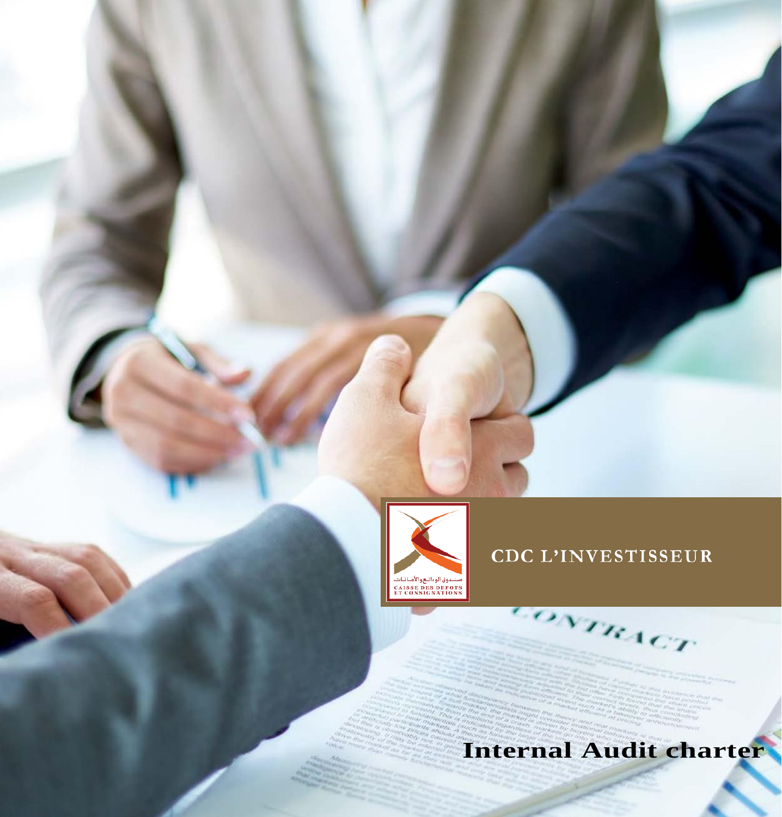

# CDC L'INVESTISSEUR

CONTRACT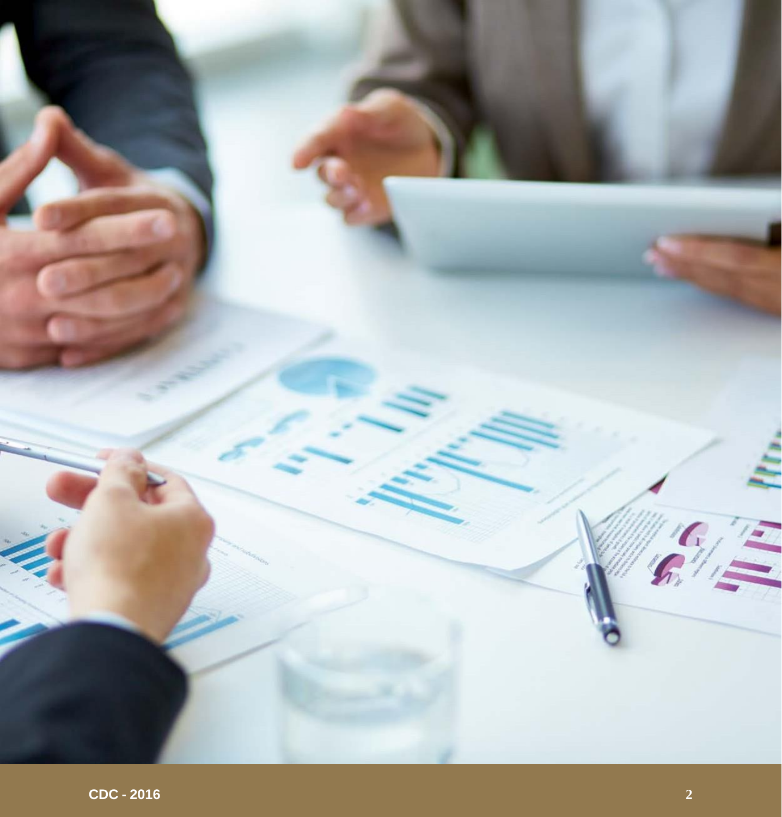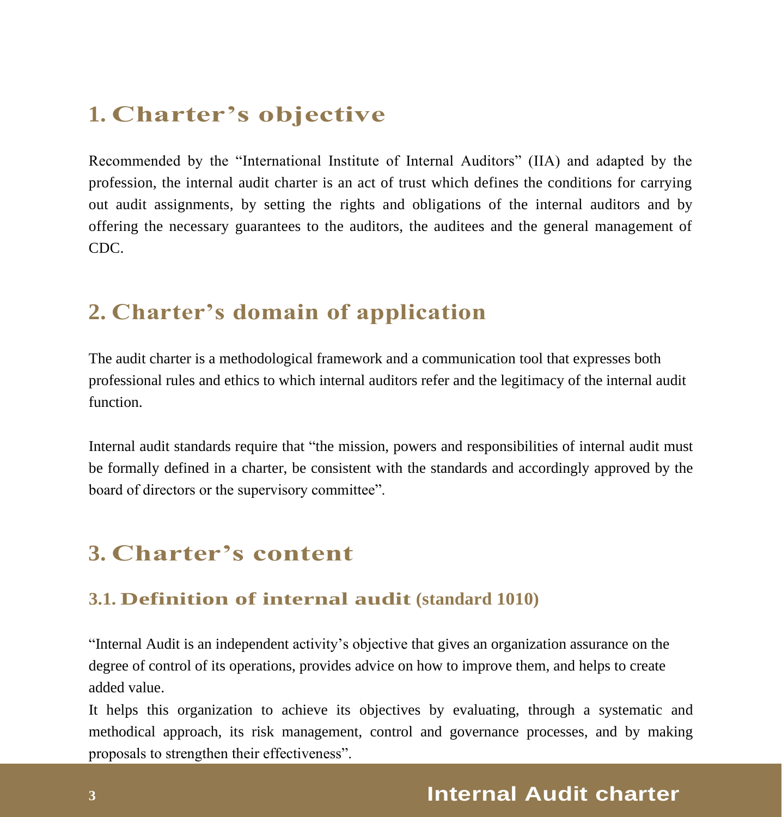# **1. Charter's objective**

Recommended by the "International Institute of Internal Auditors" (IIA) and adapted by the profession, the internal audit charter is an act of trust which defines the conditions for carrying out audit assignments, by setting the rights and obligations of the internal auditors and by offering the necessary guarantees to the auditors, the auditees and the general management of CDC.

## **2. Charter's domain of application**

The audit charter is a methodological framework and a communication tool that expresses both professional rules and ethics to which internal auditors refer and the legitimacy of the internal audit function.

Internal audit standards require that "the mission, powers and responsibilities of internal audit must be formally defined in a charter, be consistent with the standards and accordingly approved by the board of directors or the supervisory committee".

## **3. Charter's content**

### **3.1. Definition of internal audit (standard 1010)**

"Internal Audit is an independent activity's objective that gives an organization assurance on the degree of control of its operations, provides advice on how to improve them, and helps to create added value.

It helps this organization to achieve its objectives by evaluating, through a systematic and methodical approach, its risk management, control and governance processes, and by making proposals to strengthen their effectiveness".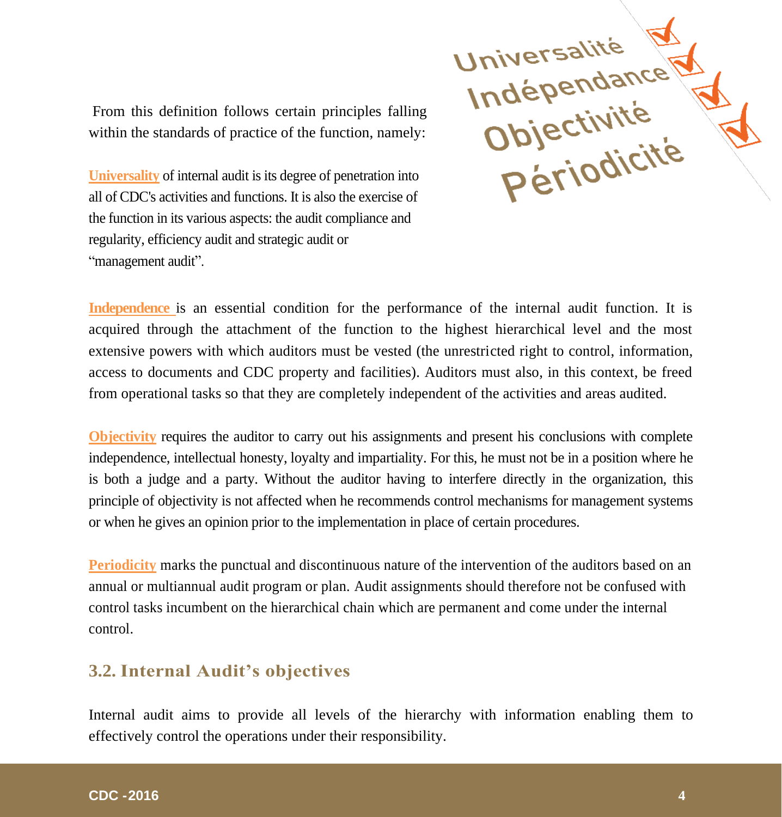

From this definition follows certain principles falling within the standards of practice of the function, namely:

**Universality** of internal audit is its degree of penetration into all of CDC's activities and functions. It is also the exercise of the function in its various aspects: the audit compliance and regularity, efficiency audit and strategic audit or "management audit".

**Independence** is an essential condition for the performance of the internal audit function. It is acquired through the attachment of the function to the highest hierarchical level and the most extensive powers with which auditors must be vested (the unrestricted right to control, information, access to documents and CDC property and facilities). Auditors must also, in this context, be freed from operational tasks so that they are completely independent of the activities and areas audited.

**Objectivity** requires the auditor to carry out his assignments and present his conclusions with complete independence, intellectual honesty, loyalty and impartiality. For this, he must not be in a position where he is both a judge and a party. Without the auditor having to interfere directly in the organization, this principle of objectivity is not affected when he recommends control mechanisms for management systems or when he gives an opinion prior to the implementation in place of certain procedures.

**Periodicity** marks the punctual and discontinuous nature of the intervention of the auditors based on an annual or multiannual audit program or plan. Audit assignments should therefore not be confused with control tasks incumbent on the hierarchical chain which are permanent and come under the internal control.

### **3.2. Internal Audit's objectives**

Internal audit aims to provide all levels of the hierarchy with information enabling them to effectively control the operations under their responsibility.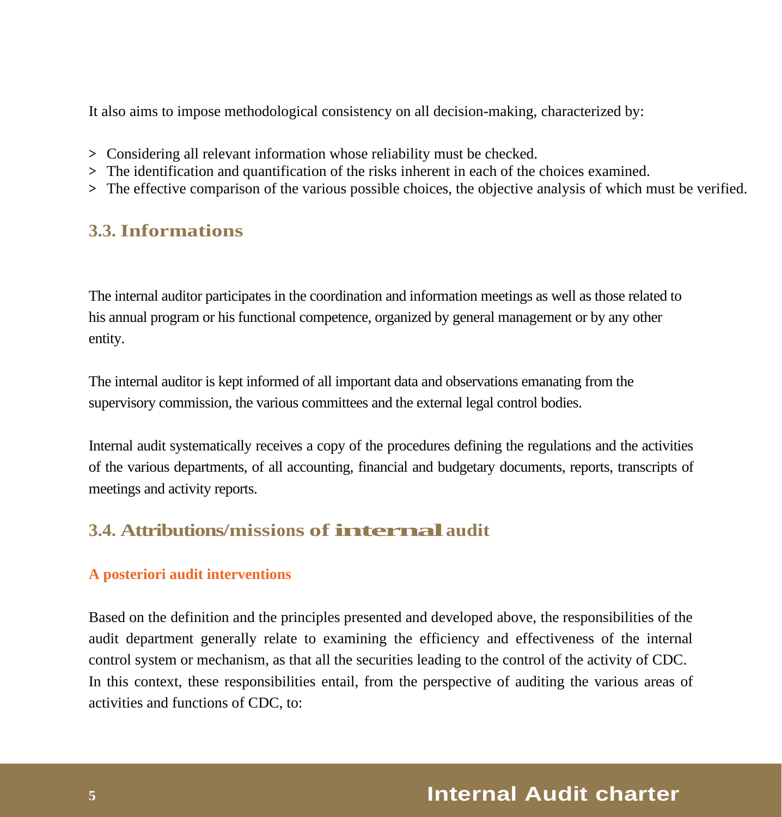It also aims to impose methodological consistency on all decision-making, characterized by:

- **>** Considering all relevant information whose reliability must be checked.
- **>** The identification and quantification of the risks inherent in each of the choices examined.
- **>** The effective comparison of the various possible choices, the objective analysis of which must be verified.

### **3.3. Informations**

The internal auditor participates in the coordination and information meetings as well as those related to his annual program or his functional competence, organized by general management or by any other entity.

The internal auditor is kept informed of all important data and observations emanating from the supervisory commission, the various committees and the external legal control bodies.

Internal audit systematically receives a copy of the procedures defining the regulations and the activities of the various departments, of all accounting, financial and budgetary documents, reports, transcripts of meetings and activity reports.

### **3.4. Attributions/missions of internalaudit**

#### **A posteriori audit interventions**

Based on the definition and the principles presented and developed above, the responsibilities of the audit department generally relate to examining the efficiency and effectiveness of the internal control system or mechanism, as that all the securities leading to the control of the activity of CDC. In this context, these responsibilities entail, from the perspective of auditing the various areas of activities and functions of CDC, to: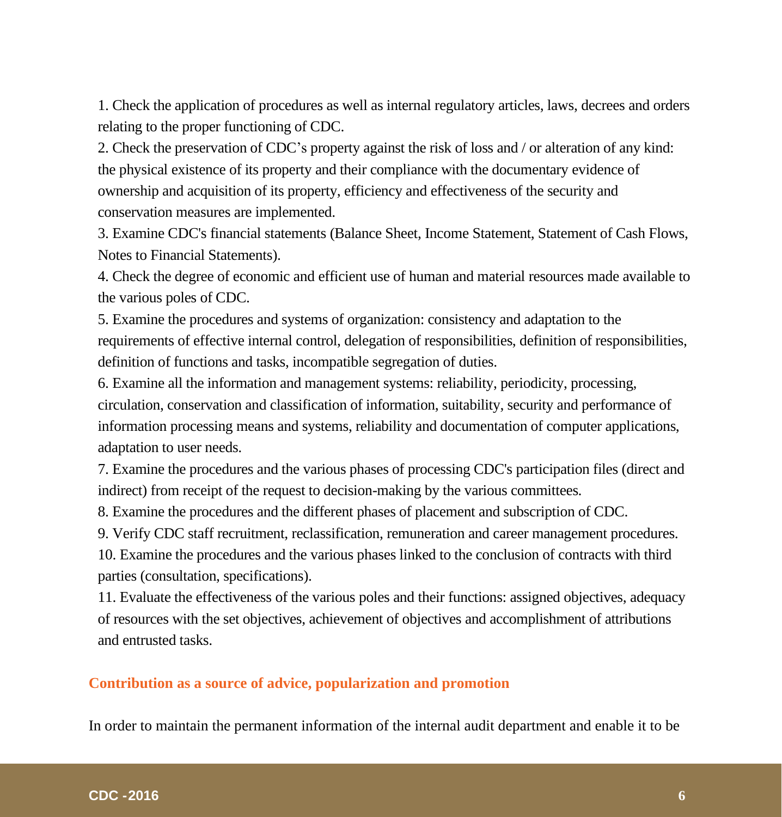1. Check the application of procedures as well as internal regulatory articles, laws, decrees and orders relating to the proper functioning of CDC.

2. Check the preservation of CDC's property against the risk of loss and / or alteration of any kind: the physical existence of its property and their compliance with the documentary evidence of ownership and acquisition of its property, efficiency and effectiveness of the security and conservation measures are implemented.

3. Examine CDC's financial statements (Balance Sheet, Income Statement, Statement of Cash Flows, Notes to Financial Statements).

4. Check the degree of economic and efficient use of human and material resources made available to the various poles of CDC.

5. Examine the procedures and systems of organization: consistency and adaptation to the requirements of effective internal control, delegation of responsibilities, definition of responsibilities, definition of functions and tasks, incompatible segregation of duties.

6. Examine all the information and management systems: reliability, periodicity, processing, circulation, conservation and classification of information, suitability, security and performance of information processing means and systems, reliability and documentation of computer applications, adaptation to user needs.

7. Examine the procedures and the various phases of processing CDC's participation files (direct and indirect) from receipt of the request to decision-making by the various committees.

8. Examine the procedures and the different phases of placement and subscription of CDC.

9. Verify CDC staff recruitment, reclassification, remuneration and career management procedures.

10. Examine the procedures and the various phases linked to the conclusion of contracts with third parties (consultation, specifications).

11. Evaluate the effectiveness of the various poles and their functions: assigned objectives, adequacy of resources with the set objectives, achievement of objectives and accomplishment of attributions and entrusted tasks.

#### **Contribution as a source of advice, popularization and promotion**

In order to maintain the permanent information of the internal audit department and enable it to be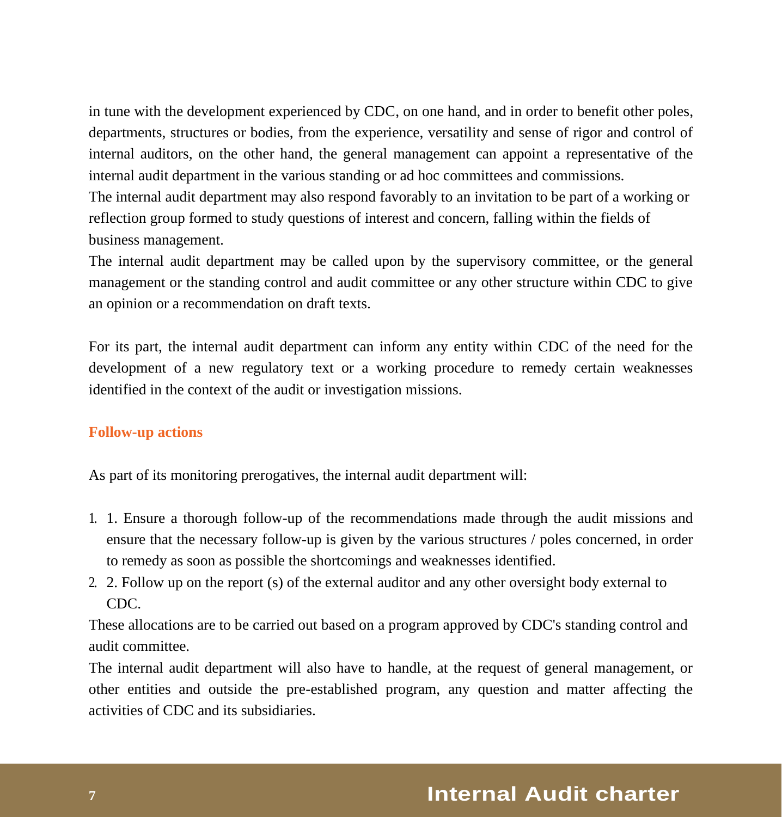in tune with the development experienced by CDC, on one hand, and in order to benefit other poles, departments, structures or bodies, from the experience, versatility and sense of rigor and control of internal auditors, on the other hand, the general management can appoint a representative of the internal audit department in the various standing or ad hoc committees and commissions.

The internal audit department may also respond favorably to an invitation to be part of a working or reflection group formed to study questions of interest and concern, falling within the fields of business management.

The internal audit department may be called upon by the supervisory committee, or the general management or the standing control and audit committee or any other structure within CDC to give an opinion or a recommendation on draft texts.

For its part, the internal audit department can inform any entity within CDC of the need for the development of a new regulatory text or a working procedure to remedy certain weaknesses identified in the context of the audit or investigation missions.

#### **Follow-up actions**

As part of its monitoring prerogatives, the internal audit department will:

- 1. 1. Ensure a thorough follow-up of the recommendations made through the audit missions and ensure that the necessary follow-up is given by the various structures / poles concerned, in order to remedy as soon as possible the shortcomings and weaknesses identified.
- 2. 2. Follow up on the report (s) of the external auditor and any other oversight body external to CDC.

These allocations are to be carried out based on a program approved by CDC's standing control and audit committee.

The internal audit department will also have to handle, at the request of general management, or other entities and outside the pre-established program, any question and matter affecting the activities of CDC and its subsidiaries.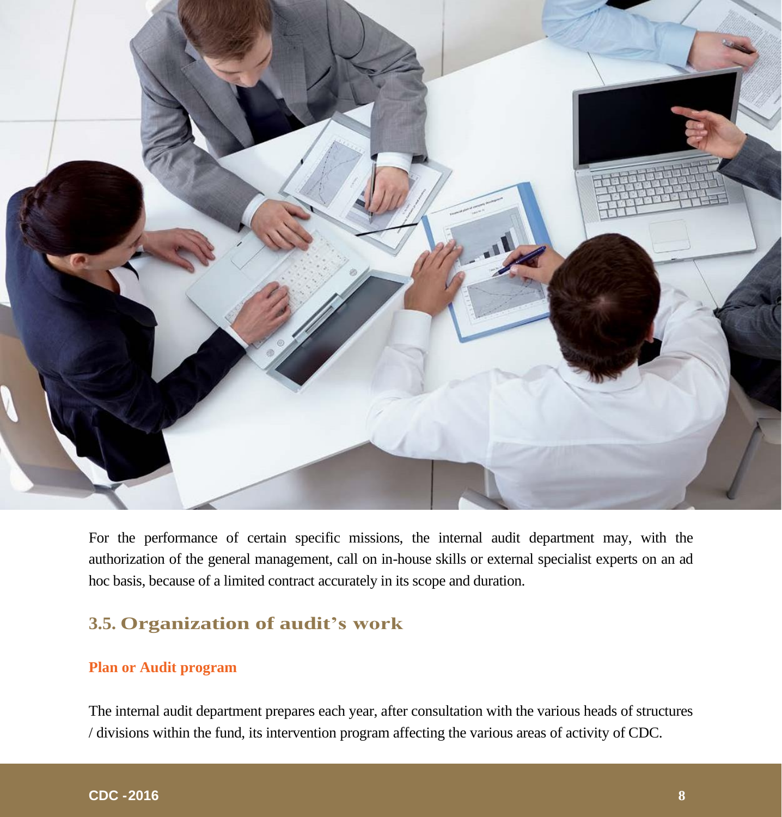

For the performance of certain specific missions, the internal audit department may, with the authorization of the general management, call on in-house skills or external specialist experts on an ad hoc basis, because of a limited contract accurately in its scope and duration.

### **3.5. Organization of audit's work**

#### **Plan or Audit program**

The internal audit department prepares each year, after consultation with the various heads of structures / divisions within the fund, its intervention program affecting the various areas of activity of CDC.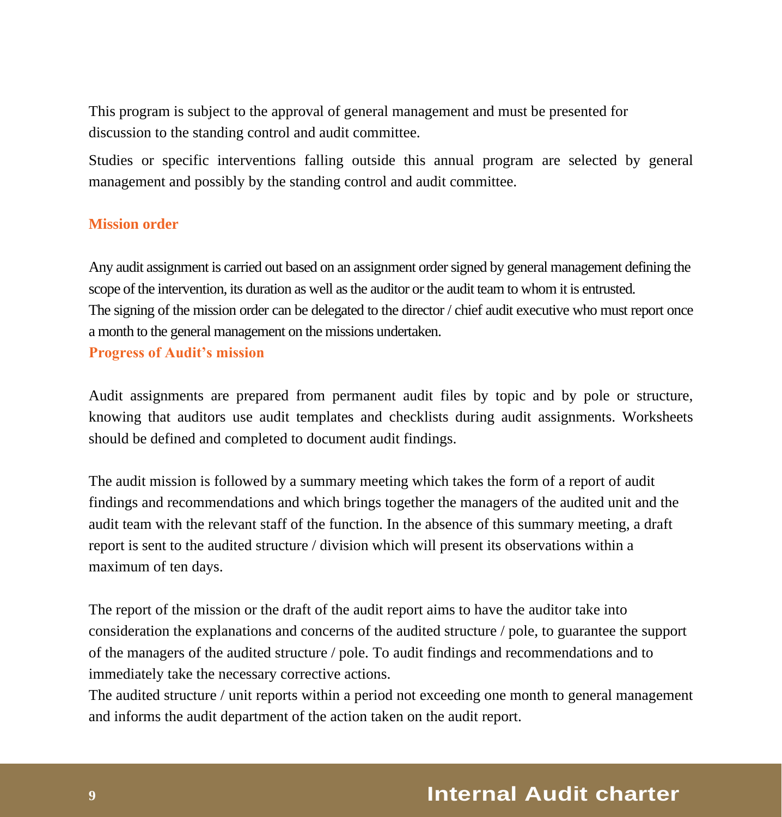This program is subject to the approval of general management and must be presented for discussion to the standing control and audit committee.

Studies or specific interventions falling outside this annual program are selected by general management and possibly by the standing control and audit committee.

#### **Mission order**

Any audit assignment is carried out based on an assignment order signed by general management defining the scope of the intervention, its duration as well as the auditor or the audit team to whom it is entrusted. The signing of the mission order can be delegated to the director / chief audit executive who must report once a month to the general management on the missions undertaken.

#### **Progress of Audit's mission**

Audit assignments are prepared from permanent audit files by topic and by pole or structure, knowing that auditors use audit templates and checklists during audit assignments. Worksheets should be defined and completed to document audit findings.

The audit mission is followed by a summary meeting which takes the form of a report of audit findings and recommendations and which brings together the managers of the audited unit and the audit team with the relevant staff of the function. In the absence of this summary meeting, a draft report is sent to the audited structure / division which will present its observations within a maximum of ten days.

The report of the mission or the draft of the audit report aims to have the auditor take into consideration the explanations and concerns of the audited structure / pole, to guarantee the support of the managers of the audited structure / pole. To audit findings and recommendations and to immediately take the necessary corrective actions.

The audited structure / unit reports within a period not exceeding one month to general management and informs the audit department of the action taken on the audit report.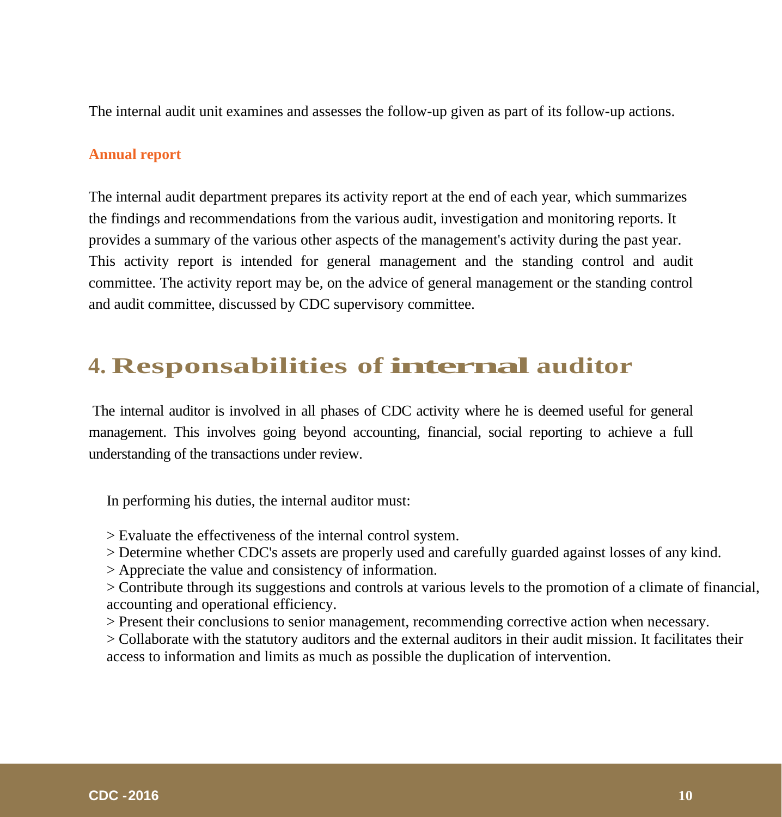The internal audit unit examines and assesses the follow-up given as part of its follow-up actions.

#### **Annual report**

The internal audit department prepares its activity report at the end of each year, which summarizes the findings and recommendations from the various audit, investigation and monitoring reports. It provides a summary of the various other aspects of the management's activity during the past year. This activity report is intended for general management and the standing control and audit committee. The activity report may be, on the advice of general management or the standing control and audit committee, discussed by CDC supervisory committee.

## **4. Responsabilities of internal auditor**

The internal auditor is involved in all phases of CDC activity where he is deemed useful for general management. This involves going beyond accounting, financial, social reporting to achieve a full understanding of the transactions under review.

In performing his duties, the internal auditor must:

> Evaluate the effectiveness of the internal control system.

> Determine whether CDC's assets are properly used and carefully guarded against losses of any kind.

> Appreciate the value and consistency of information.

> Contribute through its suggestions and controls at various levels to the promotion of a climate of financial, accounting and operational efficiency.

> Present their conclusions to senior management, recommending corrective action when necessary.

> Collaborate with the statutory auditors and the external auditors in their audit mission. It facilitates their access to information and limits as much as possible the duplication of intervention.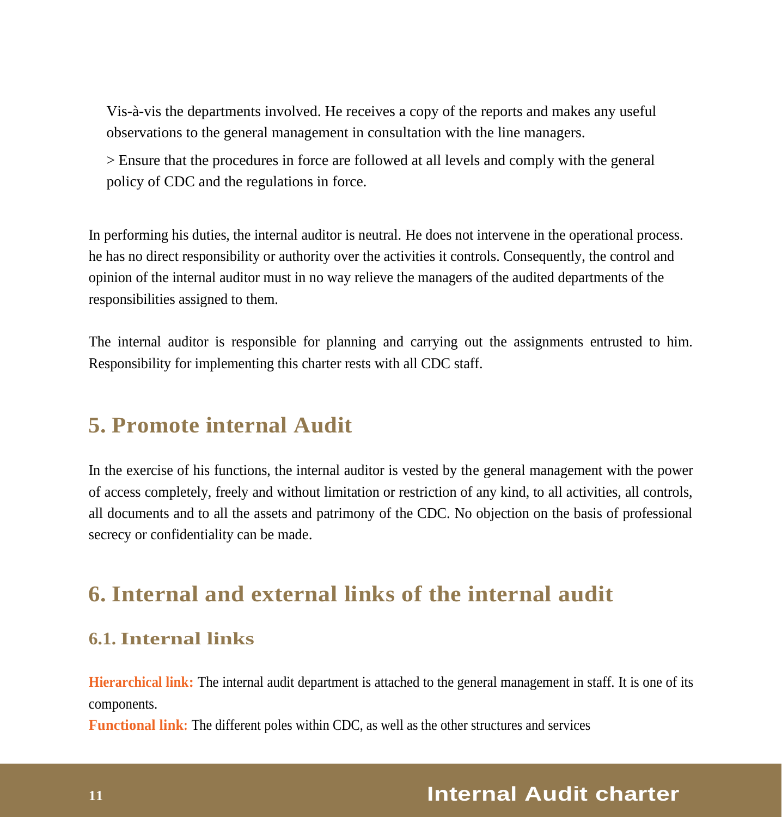Vis-à-vis the departments involved. He receives a copy of the reports and makes any useful observations to the general management in consultation with the line managers.

> Ensure that the procedures in force are followed at all levels and comply with the general policy of CDC and the regulations in force.

In performing his duties, the internal auditor is neutral. He does not intervene in the operational process. he has no direct responsibility or authority over the activities it controls. Consequently, the control and opinion of the internal auditor must in no way relieve the managers of the audited departments of the responsibilities assigned to them.

The internal auditor is responsible for planning and carrying out the assignments entrusted to him. Responsibility for implementing this charter rests with all CDC staff.

### **5. Promote internal Audit**

In the exercise of his functions, the internal auditor is vested by the general management with the power of access completely, freely and without limitation or restriction of any kind, to all activities, all controls, all documents and to all the assets and patrimony of the CDC. No objection on the basis of professional secrecy or confidentiality can be made.

## **6. Internal and external links of the internal audit**

### **6.1. Internal links**

**Hierarchical link:** The internal audit department is attached to the general management in staff. It is one of its components.

**Functional link:** The different poles within CDC, as well as the other structures and services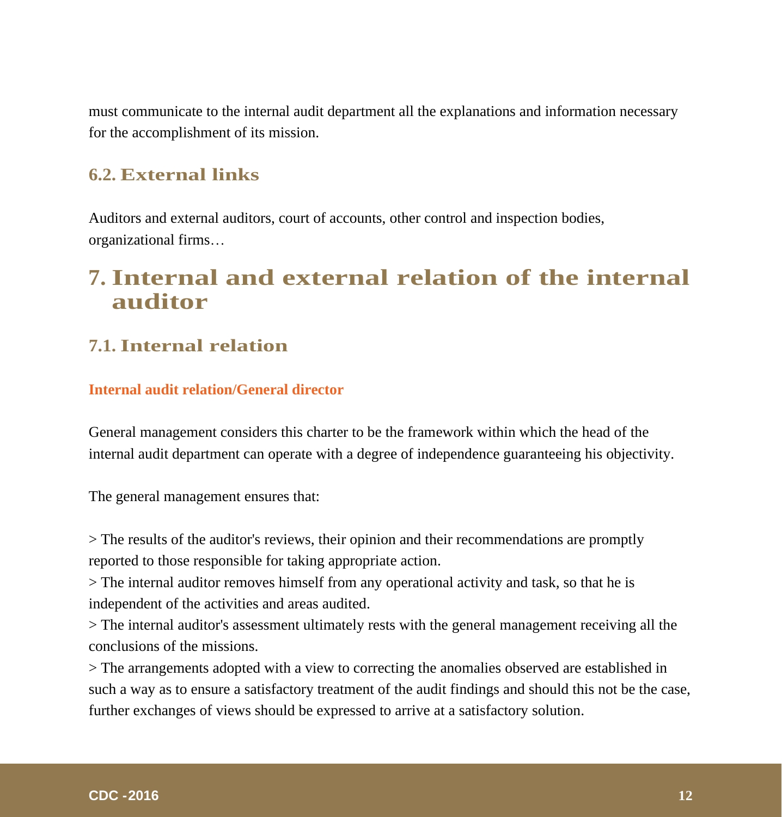must communicate to the internal audit department all the explanations and information necessary for the accomplishment of its mission.

### **6.2. External links**

Auditors and external auditors, court of accounts, other control and inspection bodies, organizational firms…

## **7. Internal and external relation of the internal auditor**

### **7.1. Internal relation**

#### **Internal audit relation/General director**

General management considers this charter to be the framework within which the head of the internal audit department can operate with a degree of independence guaranteeing his objectivity.

The general management ensures that:

> The results of the auditor's reviews, their opinion and their recommendations are promptly reported to those responsible for taking appropriate action.

> The internal auditor removes himself from any operational activity and task, so that he is independent of the activities and areas audited.

> The internal auditor's assessment ultimately rests with the general management receiving all the conclusions of the missions.

> The arrangements adopted with a view to correcting the anomalies observed are established in such a way as to ensure a satisfactory treatment of the audit findings and should this not be the case, further exchanges of views should be expressed to arrive at a satisfactory solution.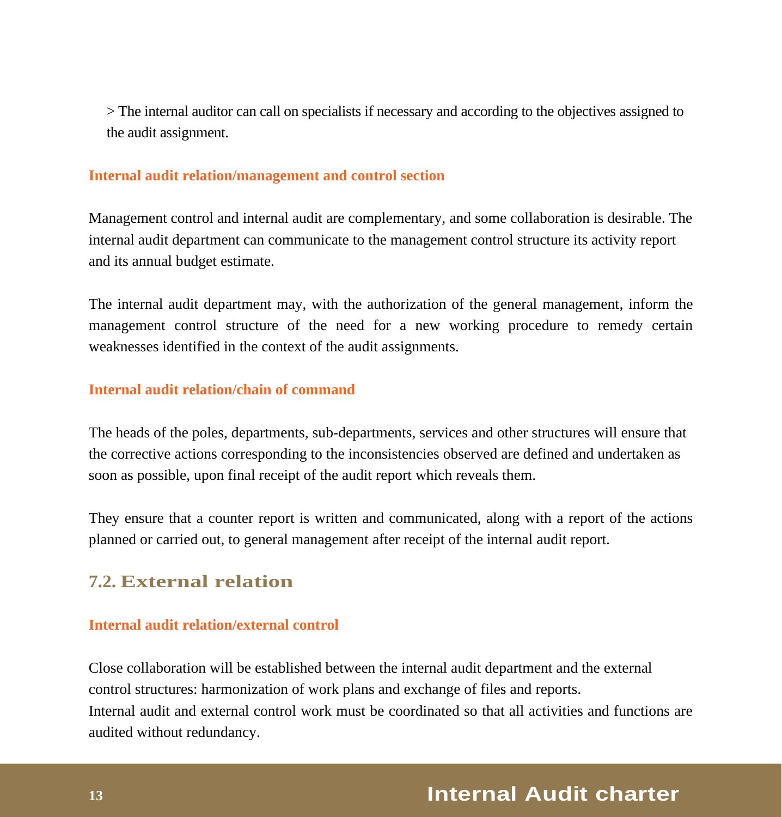> The internal auditor can call on specialists if necessary and according to the objectives assigned to the audit assignment.

#### **Internal audit relation/management and control section**

Management control and internal audit are complementary, and some collaboration is desirable. The internal audit department can communicate to the management control structure its activity report and its annual budget estimate.

The internal audit department may, with the authorization of the general management, inform the management control structure of the need for a new working procedure to remedy certain weaknesses identified in the context of the audit assignments.

#### **Internal audit relation/chain of command**

The heads of the poles, departments, sub-departments, services and other structures will ensure that the corrective actions corresponding to the inconsistencies observed are defined and undertaken as soon as possible, upon final receipt of the audit report which reveals them.

They ensure that a counter report is written and communicated, along with a report of the actions planned or carried out, to general management after receipt of the internal audit report.

### **7.2. External relation**

#### **Internal audit relation/external control**

Close collaboration will be established between the internal audit department and the external control structures: harmonization of work plans and exchange of files and reports. Internal audit and external control work must be coordinated so that all activities and functions are audited without redundancy.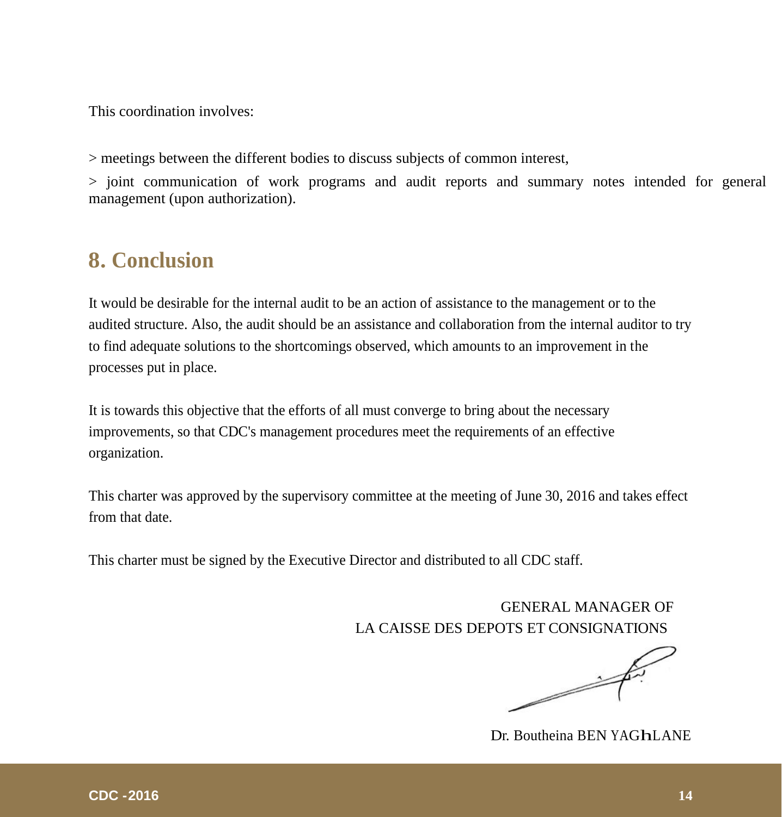This coordination involves:

> meetings between the different bodies to discuss subjects of common interest,

> joint communication of work programs and audit reports and summary notes intended for general management (upon authorization).

### **8. Conclusion**

It would be desirable for the internal audit to be an action of assistance to the management or to the audited structure. Also, the audit should be an assistance and collaboration from the internal auditor to try to find adequate solutions to the shortcomings observed, which amounts to an improvement in the processes put in place.

It is towards this objective that the efforts of all must converge to bring about the necessary improvements, so that CDC's management procedures meet the requirements of an effective organization.

This charter was approved by the supervisory committee at the meeting of June 30, 2016 and takes effect from that date.

This charter must be signed by the Executive Director and distributed to all CDC staff.

GENERAL MANAGER OF LA CAISSE DES DEPOTS ET CONSIGNATIONS

 $\overline{\phantom{0}}$ 

Dr. Boutheina BEN YAGhLANE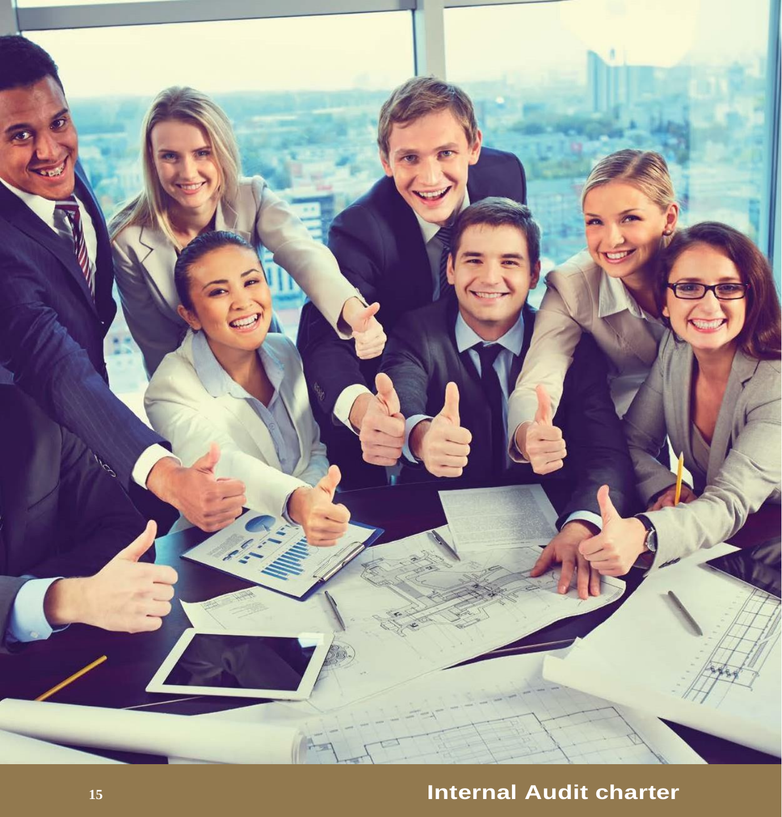